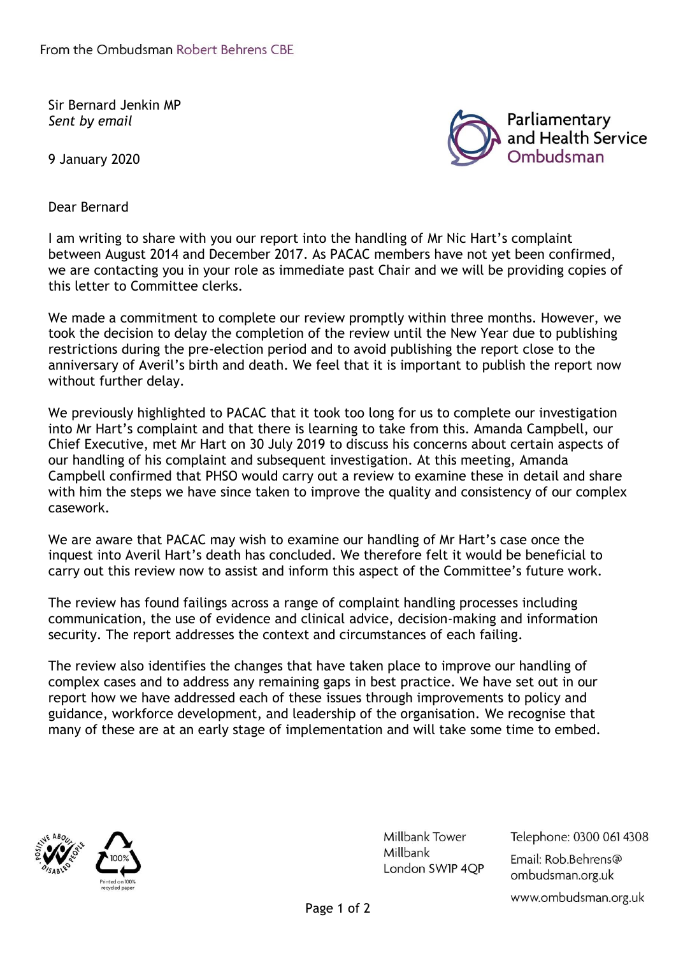Sir Bernard Jenkin MP *Sent by email* 

9 January 2020



Dear Bernard

I am writing to share with you our report into the handling of Mr Nic Hart's complaint between August 2014 and December 2017. As PACAC members have not yet been confirmed, we are contacting you in your role as immediate past Chair and we will be providing copies of this letter to Committee clerks.

We made a commitment to complete our review promptly within three months. However, we took the decision to delay the completion of the review until the New Year due to publishing restrictions during the pre-election period and to avoid publishing the report close to the anniversary of Averil's birth and death. We feel that it is important to publish the report now without further delay.

We previously highlighted to PACAC that it took too long for us to complete our investigation into Mr Hart's complaint and that there is learning to take from this. Amanda Campbell, our Chief Executive, met Mr Hart on 30 July 2019 to discuss his concerns about certain aspects of our handling of his complaint and subsequent investigation. At this meeting, Amanda Campbell confirmed that PHSO would carry out a review to examine these in detail and share with him the steps we have since taken to improve the quality and consistency of our complex casework.

We are aware that PACAC may wish to examine our handling of Mr Hart's case once the inquest into Averil Hart's death has concluded. We therefore felt it would be beneficial to carry out this review now to assist and inform this aspect of the Committee's future work.

The review has found failings across a range of complaint handling processes including communication, the use of evidence and clinical advice, decision-making and information security. The report addresses the context and circumstances of each failing.

The review also identifies the changes that have taken place to improve our handling of complex cases and to address any remaining gaps in best practice. We have set out in our report how we have addressed each of these issues through improvements to policy and guidance, workforce development, and leadership of the organisation. We recognise that many of these are at an early stage of implementation and will take some time to embed.



Millbank Tower Millbank London SWIP 4QP Telephone: 0300 061 4308 Email: Rob.Behrens@ ombudsman.org.uk www.ombudsman.org.uk